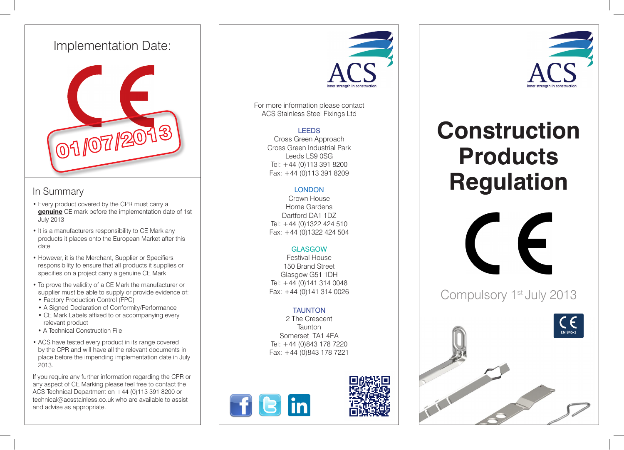## Implementation Date:



### In Summary

- Every product covered by the CPR must carry a **genuine** CE mark before the implementation date of 1st July 2013
- It is a manufacturers responsibility to CE Mark any products it places onto the European Market after this date
- However, it is the Merchant, Supplier or Specifiers responsibility to ensure that all products it supplies or specifies on a project carry a genuine CE Mark
- To prove the validity of a CE Mark the manufacturer or supplier must be able to supply or provide evidence of: • Factory Production Control (FPC)
- A Signed Declaration of Conformity/Performance
- CE Mark Labels affixed to or accompanying every relevant product
- A Technical Construction File
- ACS have tested every product in its range covered by the CPR and will have all the relevant documents in place before the impending implementation date in July 2013.

If you require any further information regarding the CPR or any aspect of CE Marking please feel free to contact the ACS Technical Department on +44 (0)113 391 8200 or technical@acsstainless.co.uk who are available to assist and advise as appropriate.



For more information please contact ACS Stainless Steel Fixings Ltd

#### LEEDS

Cross Green Approach Cross Green Industrial Park Leeds LS9 0SG Tel: +44 (0)113 391 8200 Fax: +44 (0)113 391 8209

### **LONDON**

Crown House Home Gardens Dartford DA1 1DZ Tel: +44 (0)1322 424 510 Fax: +44 (0)1322 424 504

#### **GLASGOW**

Festival House 150 Brand Street Glasgow G51 1DH Tel:  $+44$  (0)141 314 0048 Fax: +44 (0)141 314 0026

### TAUNTON

2 The Crescent **Taunton** Somerset TA1 4EA Tel: +44 (0)843 178 7220 Fax: +44 (0)843 178 7221





# **Construction Products Regulation**



Compulsory 1<sup>st</sup> July 2013



The wall tie element of the fixing is designed to provide an embedment in the mortar joint of between 50 and 75mm once

The tie is an asymmetrical design and the capacity of each of these ends has been established during initial type tests in

capacity of the bond strength can be guaranteed.